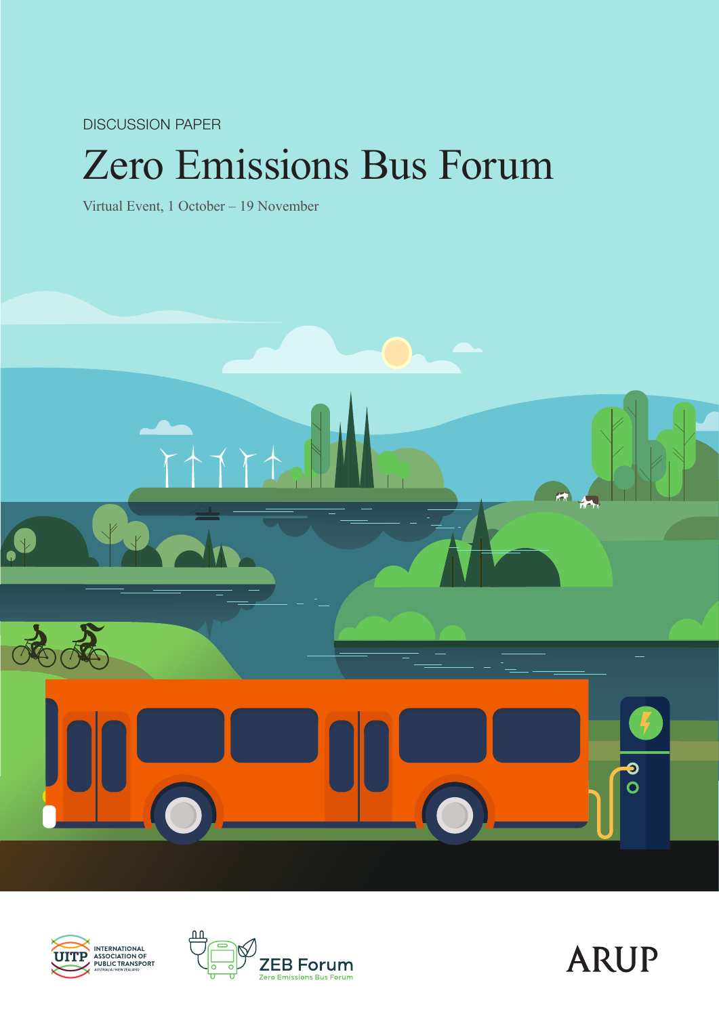DISCUSSION PAPER

# Zero Emissions Bus Forum

Virtual Event, 1 October – 19 November







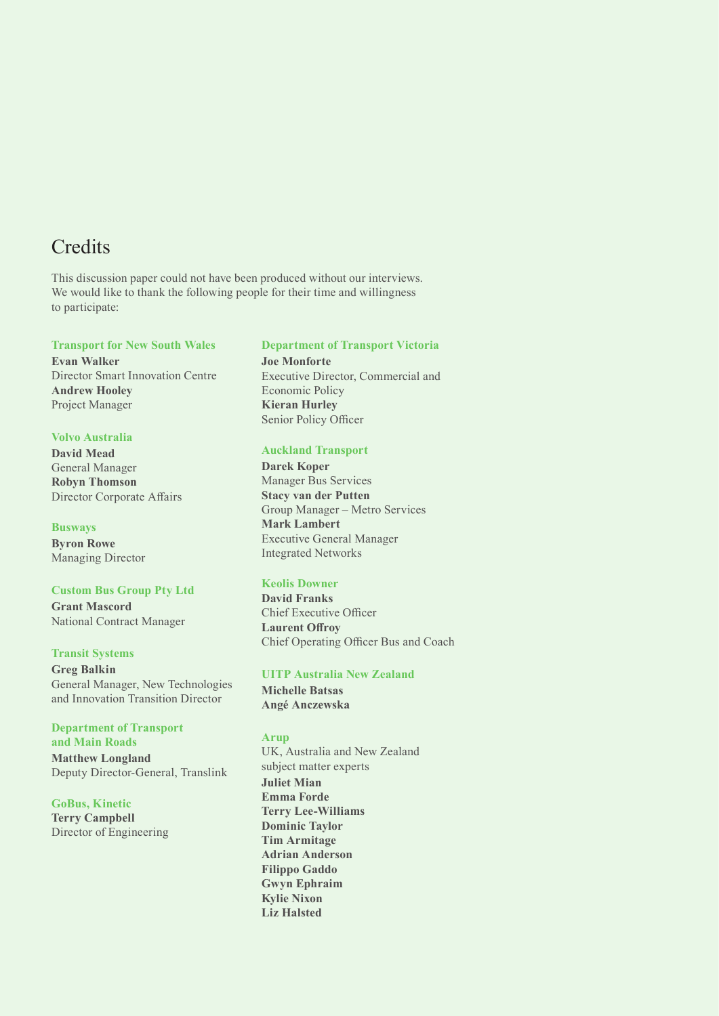### **Credits**

This discussion paper could not have been produced without our interviews. We would like to thank the following people for their time and willingness to participate:

#### **Transport for New South Wales**

**Evan Walker**  Director Smart Innovation Centre **Andrew Hooley**  Project Manager

#### **Volvo Australia**

**David Mead**  General Manager **Robyn Thomson**  Director Corporate Affairs

**Busways Byron Rowe**  Managing Director

**Custom Bus Group Pty Ltd Grant Mascord**  National Contract Manager

**Transit Systems Greg Balkin**  General Manager, New Technologies and Innovation Transition Director

**Department of Transport and Main Roads Matthew Longland** Deputy Director-General, Translink

**GoBus, Kinetic Terry Campbell**  Director of Engineering

#### **Department of Transport Victoria**

**Joe Monforte**  Executive Director, Commercial and Economic Policy **Kieran Hurley**  Senior Policy Officer

#### **Auckland Transport**

**Darek Koper**  Manager Bus Services **Stacy van der Putten**  Group Manager – Metro Services **Mark Lambert**  Executive General Manager Integrated Networks

#### **Keolis Downer**

**David Franks**  Chief Executive Officer **Laurent Offroy**  Chief Operating Officer Bus and Coach

#### **UITP Australia New Zealand**

**Michelle Batsas Angé Anczewska** 

#### **Arup**

UK, Australia and New Zealand subject matter experts **Juliet Mian Emma Forde Terry Lee-Williams Dominic Taylor Tim Armitage Adrian Anderson Filippo Gaddo Gwyn Ephraim Kylie Nixon Liz Halsted**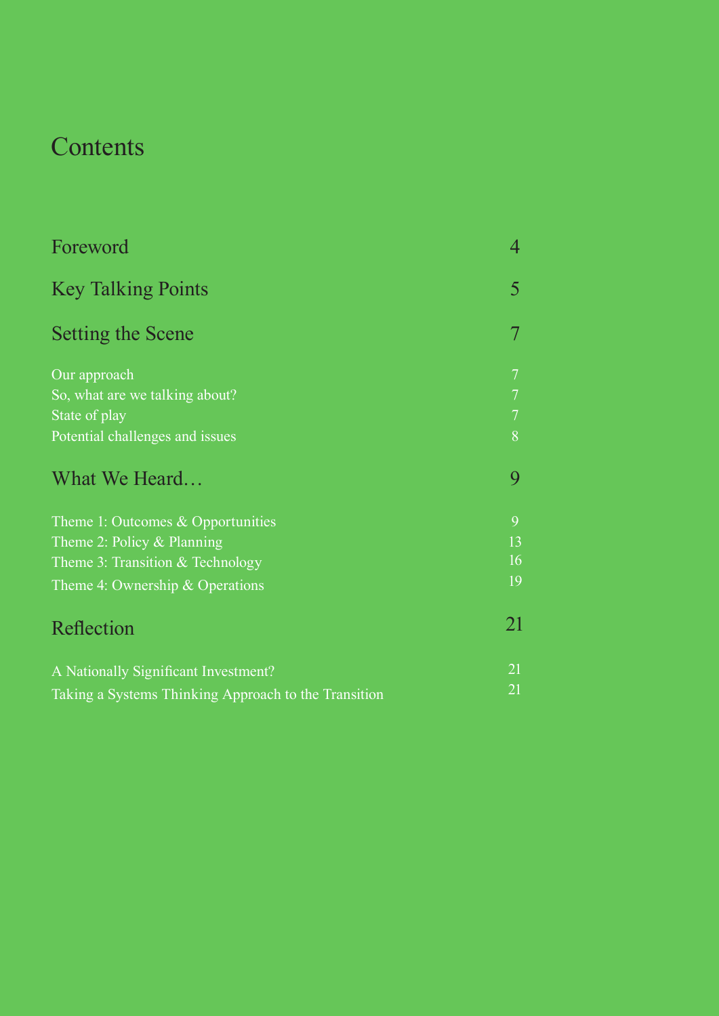## **Contents**

| Foreword                                             | 4              |
|------------------------------------------------------|----------------|
| <b>Key Talking Points</b>                            | 5              |
| Setting the Scene                                    | 7              |
| Our approach                                         | $\overline{7}$ |
| So, what are we talking about?                       | $\overline{7}$ |
| State of play                                        | $\overline{7}$ |
| Potential challenges and issues                      | 8              |
| What We Heard                                        | 9              |
| Theme 1: Outcomes & Opportunities                    | 9              |
| Theme 2: Policy $&$ Planning                         | 13             |
| Theme 3: Transition $&$ Technology                   | 16             |
| Theme 4: Ownership & Operations                      | 19             |
| Reflection                                           | 21             |
| A Nationally Significant Investment?                 | 21             |
| Taking a Systems Thinking Approach to the Transition | 21             |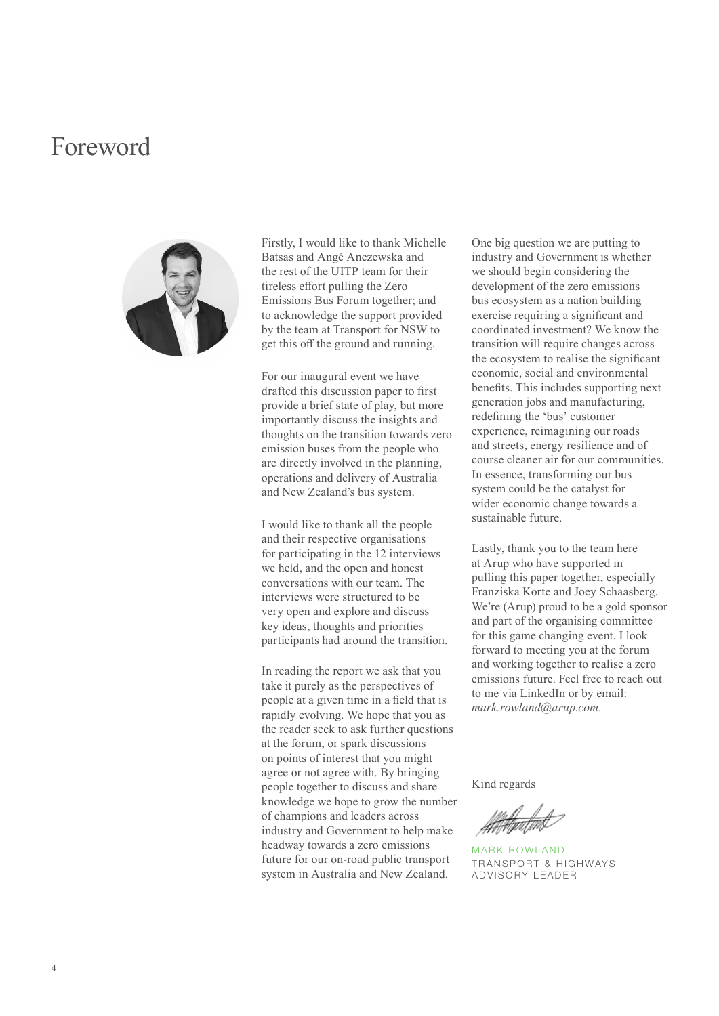### Foreword



Firstly, I would like to thank Michelle Batsas and Angé Anczewska and the rest of the UITP team for their tireless effort pulling the Zero Emissions Bus Forum together; and to acknowledge the support provided by the team at Transport for NSW to get this off the ground and running.

For our inaugural event we have drafted this discussion paper to first provide a brief state of play, but more importantly discuss the insights and thoughts on the transition towards zero emission buses from the people who are directly involved in the planning, operations and delivery of Australia and New Zealand's bus system.

I would like to thank all the people and their respective organisations for participating in the 12 interviews we held, and the open and honest conversations with our team. The interviews were structured to be very open and explore and discuss key ideas, thoughts and priorities participants had around the transition.

In reading the report we ask that you take it purely as the perspectives of people at a given time in a field that is rapidly evolving. We hope that you as the reader seek to ask further questions at the forum, or spark discussions on points of interest that you might agree or not agree with. By bringing people together to discuss and share knowledge we hope to grow the number of champions and leaders across industry and Government to help make headway towards a zero emissions future for our on-road public transport system in Australia and New Zealand.

One big question we are putting to industry and Government is whether we should begin considering the development of the zero emissions bus ecosystem as a nation building exercise requiring a significant and coordinated investment? We know the transition will require changes across the ecosystem to realise the significant economic, social and environmental benefits. This includes supporting next generation jobs and manufacturing, redefining the 'bus' customer experience, reimagining our roads and streets, energy resilience and of course cleaner air for our communities. In essence, transforming our bus system could be the catalyst for wider economic change towards a sustainable future.

Lastly, thank you to the team here at Arup who have supported in pulling this paper together, especially Franziska Korte and Joey Schaasberg. We're (Arup) proud to be a gold sponsor and part of the organising committee for this game changing event. I look forward to meeting you at the forum and working together to realise a zero emissions future. Feel free to reach out to me via LinkedIn or by email: *mark.rowland@arup.com*.

Kind regards

MARK ROWLAND TRANSPORT & HIGHWAYS ADVISORY LEADER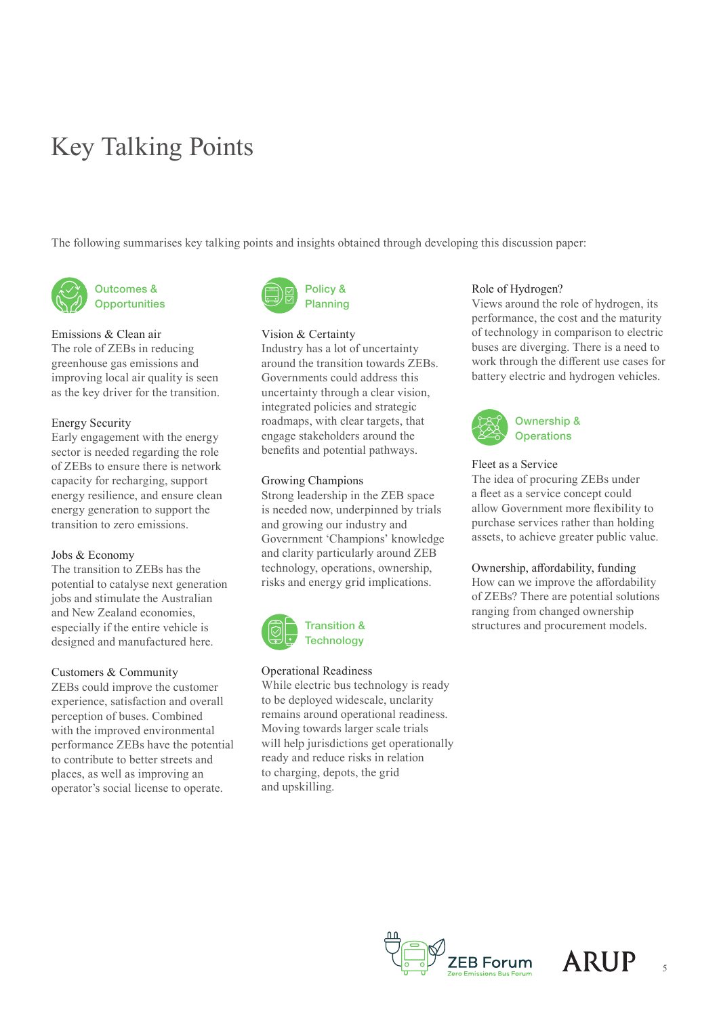## Key Talking Points

The following summarises key talking points and insights obtained through developing this discussion paper:



Outcomes & **Opportunities** 

#### Emissions & Clean air

The role of ZEBs in reducing greenhouse gas emissions and improving local air quality is seen as the key driver for the transition.

#### Energy Security

Early engagement with the energy sector is needed regarding the role of ZEBs to ensure there is network capacity for recharging, support energy resilience, and ensure clean energy generation to support the transition to zero emissions.

#### Jobs & Economy

The transition to ZEBs has the potential to catalyse next generation jobs and stimulate the Australian and New Zealand economies, especially if the entire vehicle is designed and manufactured here.

#### Customers & Community

ZEBs could improve the customer experience, satisfaction and overall perception of buses. Combined with the improved environmental performance ZEBs have the potential to contribute to better streets and places, as well as improving an operator's social license to operate.



#### Vision & Certainty

Industry has a lot of uncertainty around the transition towards ZEBs. Governments could address this uncertainty through a clear vision, integrated policies and strategic roadmaps, with clear targets, that engage stakeholders around the benefits and potential pathways.

#### Growing Champions

Strong leadership in the ZEB space is needed now, underpinned by trials and growing our industry and Government 'Champions' knowledge and clarity particularly around ZEB technology, operations, ownership, risks and energy grid implications.



#### Operational Readiness

While electric bus technology is ready to be deployed widescale, unclarity remains around operational readiness. Moving towards larger scale trials will help jurisdictions get operationally ready and reduce risks in relation to charging, depots, the grid and upskilling.

#### Role of Hydrogen?

Views around the role of hydrogen, its performance, the cost and the maturity of technology in comparison to electric buses are diverging. There is a need to work through the different use cases for battery electric and hydrogen vehicles.



#### Fleet as a Service

The idea of procuring ZEBs under a fleet as a service concept could allow Government more flexibility to purchase services rather than holding assets, to achieve greater public value.

#### Ownership, affordability, funding

How can we improve the affordability of ZEBs? There are potential solutions ranging from changed ownership structures and procurement models.



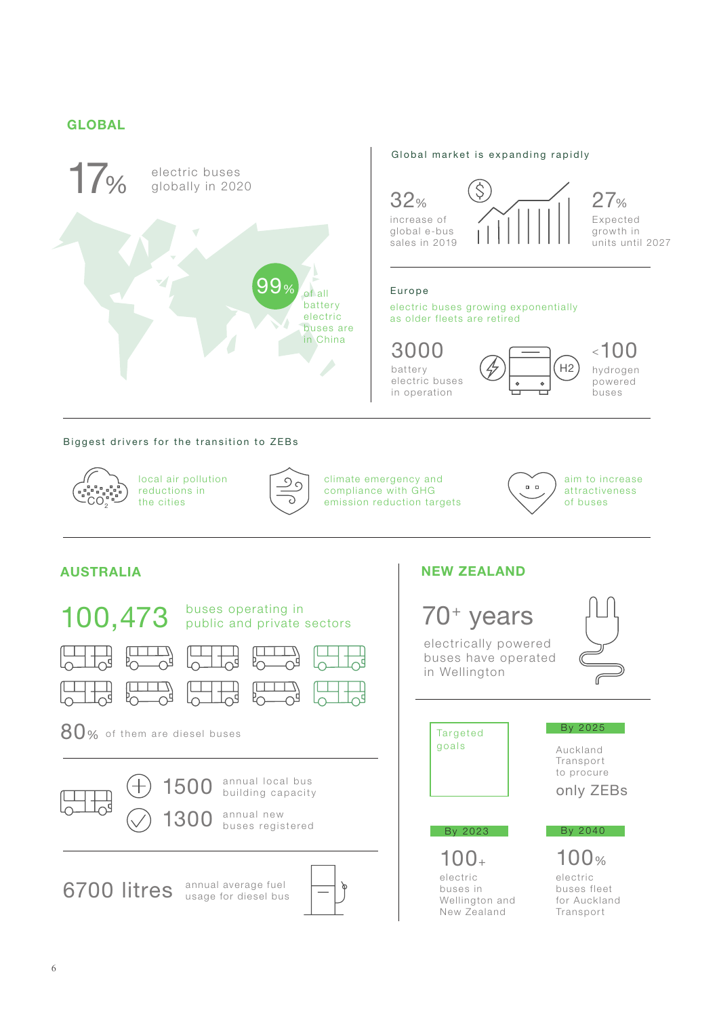### **GLOBAL**



### Global market is expanding rapidly



#### Europe

electric buses growing exponentially as older fleets are retired

batter y electric buses in operation 3000

hydrogen powered .<br>buses  $\leq 100$ 

H2

#### Biggest drivers for the transition to ZEBs



local air pollution reductions in the cities



climate emergency and compliance with GHG emission reduction targets



aim to increase attractiveness of buses

#### **AUSTRALIA NEW ZEALAND**



electrically powered buses have operated in Wellington Auckland **Transport** to procure electric buses fleet 100% electric buses in 100+ By 2023 only ZEBs By 2025 By 2040 70+ years Targeted goals

Wellington and New Zealand

for Auckland Transport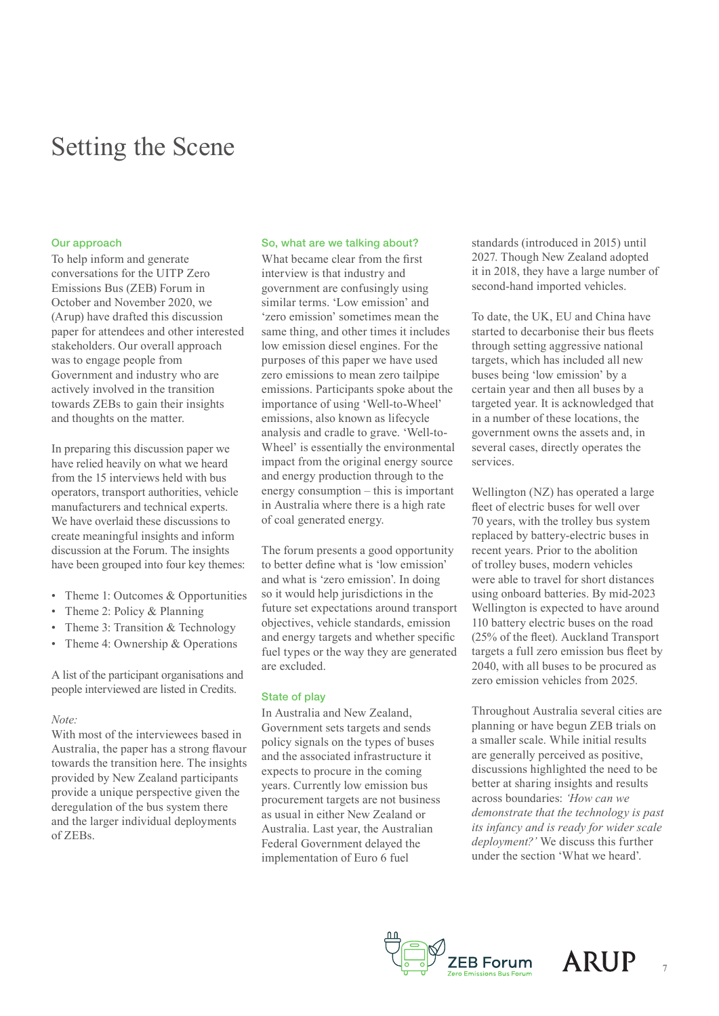## Setting the Scene

#### Our approach

To help inform and generate conversations for the UITP Zero Emissions Bus (ZEB) Forum in October and November 2020, we (Arup) have drafted this discussion paper for attendees and other interested stakeholders. Our overall approach was to engage people from Government and industry who are actively involved in the transition towards ZEBs to gain their insights and thoughts on the matter.

In preparing this discussion paper we have relied heavily on what we heard from the 15 interviews held with bus operators, transport authorities, vehicle manufacturers and technical experts. We have overlaid these discussions to create meaningful insights and inform discussion at the Forum. The insights have been grouped into four key themes:

- Theme 1: Outcomes & Opportunities
- Theme 2: Policy & Planning
- Theme 3: Transition & Technology
- Theme 4: Ownership & Operations

A list of the participant organisations and people interviewed are listed in Credits.

#### *Note:*

With most of the interviewees based in Australia, the paper has a strong flavour towards the transition here. The insights provided by New Zealand participants provide a unique perspective given the deregulation of the bus system there and the larger individual deployments of ZEBs.

#### So, what are we talking about?

What became clear from the first interview is that industry and government are confusingly using similar terms. 'Low emission' and 'zero emission' sometimes mean the same thing, and other times it includes low emission diesel engines. For the purposes of this paper we have used zero emissions to mean zero tailpipe emissions. Participants spoke about the importance of using 'Well-to-Wheel' emissions, also known as lifecycle analysis and cradle to grave. 'Well-to-Wheel' is essentially the environmental impact from the original energy source and energy production through to the energy consumption – this is important in Australia where there is a high rate of coal generated energy.

The forum presents a good opportunity to better define what is 'low emission' and what is 'zero emission'. In doing so it would help jurisdictions in the future set expectations around transport objectives, vehicle standards, emission and energy targets and whether specific fuel types or the way they are generated are excluded.

#### State of play

In Australia and New Zealand, Government sets targets and sends policy signals on the types of buses and the associated infrastructure it expects to procure in the coming years. Currently low emission bus procurement targets are not business as usual in either New Zealand or Australia. Last year, the Australian Federal Government delayed the implementation of Euro 6 fuel

standards (introduced in 2015) until 2027. Though New Zealand adopted it in 2018, they have a large number of second-hand imported vehicles.

To date, the UK, EU and China have started to decarbonise their bus fleets through setting aggressive national targets, which has included all new buses being 'low emission' by a certain year and then all buses by a targeted year. It is acknowledged that in a number of these locations, the government owns the assets and, in several cases, directly operates the services.

Wellington (NZ) has operated a large fleet of electric buses for well over 70 years, with the trolley bus system replaced by battery-electric buses in recent years. Prior to the abolition of trolley buses, modern vehicles were able to travel for short distances using onboard batteries. By mid-2023 Wellington is expected to have around 110 battery electric buses on the road (25% of the fleet). Auckland Transport targets a full zero emission bus fleet by 2040, with all buses to be procured as zero emission vehicles from 2025.

Throughout Australia several cities are planning or have begun ZEB trials on a smaller scale. While initial results are generally perceived as positive, discussions highlighted the need to be better at sharing insights and results across boundaries: *'How can we demonstrate that the technology is past its infancy and is ready for wider scale deployment?'* We discuss this further under the section 'What we heard'.



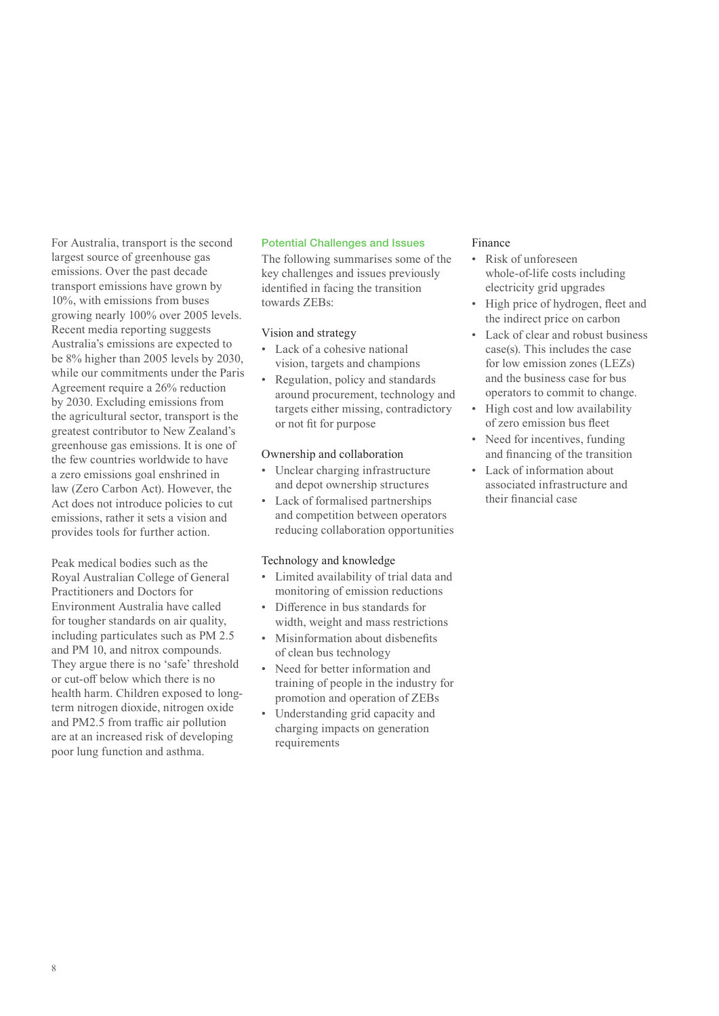For Australia, transport is the second largest source of greenhouse gas emissions. Over the past decade transport emissions have grown by 10%, with emissions from buses growing nearly 100% over 2005 levels. Recent media reporting suggests Australia's emissions are expected to be 8% higher than 2005 levels by 2030, while our commitments under the Paris Agreement require a 26% reduction by 2030. Excluding emissions from the agricultural sector, transport is the greatest contributor to New Zealand's greenhouse gas emissions. It is one of the few countries worldwide to have a zero emissions goal enshrined in law (Zero Carbon Act). However, the Act does not introduce policies to cut emissions, rather it sets a vision and provides tools for further action.

Peak medical bodies such as the Royal Australian College of General Practitioners and Doctors for Environment Australia have called for tougher standards on air quality, including particulates such as PM 2.5 and PM 10, and nitrox compounds. They argue there is no 'safe' threshold or cut-off below which there is no health harm. Children exposed to longterm nitrogen dioxide, nitrogen oxide and PM2.5 from traffic air pollution are at an increased risk of developing poor lung function and asthma.

#### Potential Challenges and Issues

The following summarises some of the key challenges and issues previously identified in facing the transition towards ZEBs:

#### Vision and strategy

- Lack of a cohesive national vision, targets and champions
- Regulation, policy and standards around procurement, technology and targets either missing, contradictory or not fit for purpose

#### Ownership and collaboration

- Unclear charging infrastructure and depot ownership structures
- Lack of formalised partnerships and competition between operators reducing collaboration opportunities

#### Technology and knowledge

- Limited availability of trial data and monitoring of emission reductions
- Difference in bus standards for width, weight and mass restrictions
- Misinformation about disbenefits of clean bus technology
- Need for better information and training of people in the industry for promotion and operation of ZEBs
- Understanding grid capacity and charging impacts on generation requirements

#### Finance

- Risk of unforeseen whole-of-life costs including electricity grid upgrades
- High price of hydrogen, fleet and the indirect price on carbon
- Lack of clear and robust business case(s). This includes the case for low emission zones (LEZs) and the business case for bus operators to commit to change.
- High cost and low availability of zero emission bus fleet
- Need for incentives, funding and financing of the transition
- Lack of information about associated infrastructure and their financial case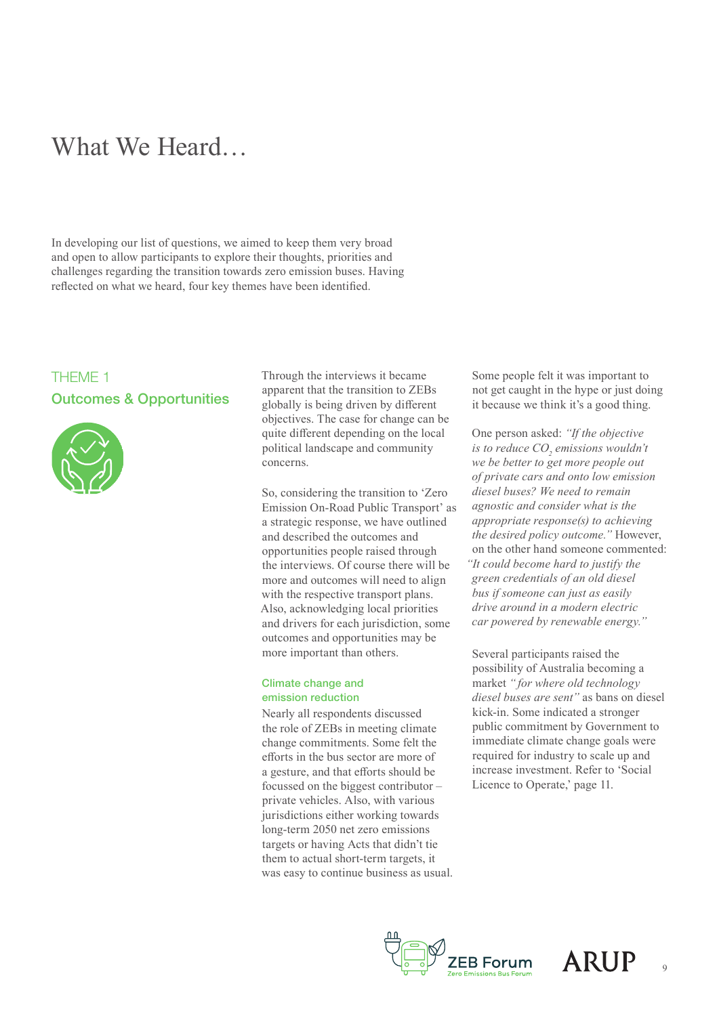## What We Heard…

In developing our list of questions, we aimed to keep them very broad and open to allow participants to explore their thoughts, priorities and challenges regarding the transition towards zero emission buses. Having reflected on what we heard, four key themes have been identified.

### THEME 1 Outcomes & Opportunities



Through the interviews it became apparent that the transition to ZEBs globally is being driven by different objectives. The case for change can be quite different depending on the local political landscape and community concerns.

So, considering the transition to 'Zero Emission On-Road Public Transport' as a strategic response, we have outlined and described the outcomes and opportunities people raised through the interviews. Of course there will be more and outcomes will need to align with the respective transport plans. Also, acknowledging local priorities and drivers for each jurisdiction, some outcomes and opportunities may be more important than others.

#### Climate change and emission reduction

Nearly all respondents discussed the role of ZEBs in meeting climate change commitments. Some felt the efforts in the bus sector are more of a gesture, and that efforts should be focussed on the biggest contributor – private vehicles. Also, with various jurisdictions either working towards long-term 2050 net zero emissions targets or having Acts that didn't tie them to actual short-term targets, it was easy to continue business as usual. Some people felt it was important to not get caught in the hype or just doing it because we think it's a good thing.

One person asked: *"If the objective is to reduce CO<sub>2</sub> emissions wouldn't we be better to get more people out of private cars and onto low emission diesel buses? We need to remain agnostic and consider what is the appropriate response(s) to achieving the desired policy outcome."* However, on the other hand someone commented: *"It could become hard to justify the green credentials of an old diesel bus if someone can just as easily drive around in a modern electric car powered by renewable energy."*

Several participants raised the possibility of Australia becoming a market *" for where old technology diesel buses are sent"* as bans on diesel kick-in. Some indicated a stronger public commitment by Government to immediate climate change goals were required for industry to scale up and increase investment. Refer to 'Social Licence to Operate,' page 11.



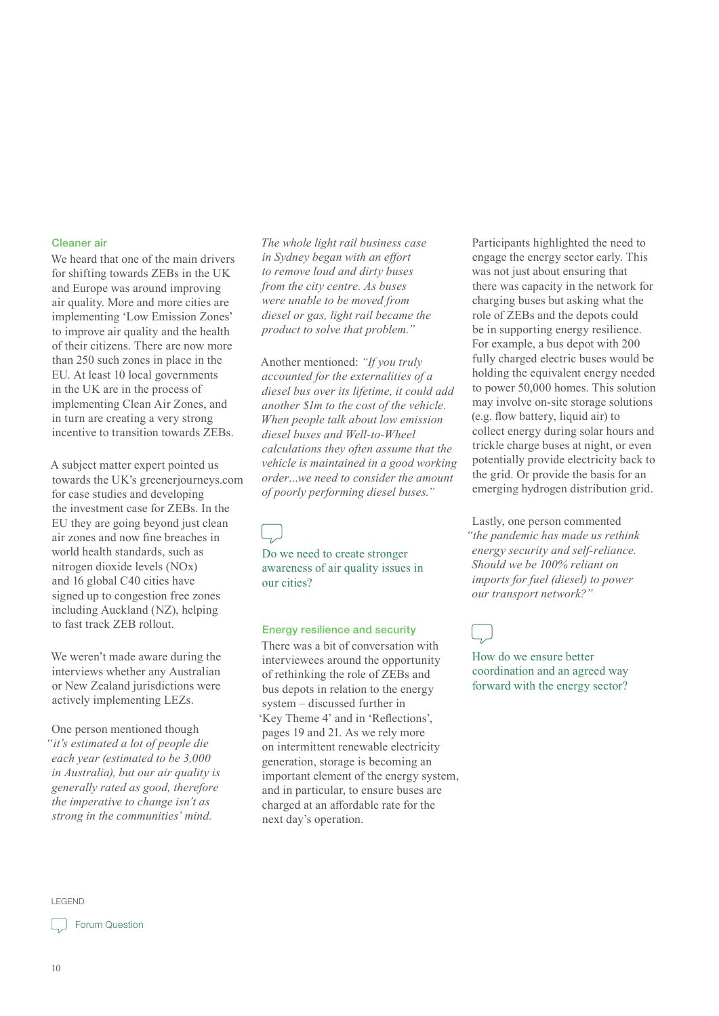#### Cleaner air

We heard that one of the main drivers for shifting towards ZEBs in the UK and Europe was around improving air quality. More and more cities are implementing 'Low Emission Zones' to improve air quality and the health of their citizens. There are now more than 250 such zones in place in the EU. At least 10 local governments in the UK are in the process of implementing Clean Air Zones, and in turn are creating a very strong incentive to transition towards ZEBs.

A subject matter expert pointed us towards the UK's greenerjourneys.com for case studies and developing the investment case for ZEBs. In the EU they are going beyond just clean air zones and now fine breaches in world health standards, such as nitrogen dioxide levels (NOx) and 16 global C40 cities have signed up to congestion free zones including Auckland (NZ), helping to fast track ZEB rollout.

We weren't made aware during the interviews whether any Australian or New Zealand jurisdictions were actively implementing LEZs.

One person mentioned though *"it's estimated a lot of people die each year (estimated to be 3,000 in Australia), but our air quality is generally rated as good, therefore the imperative to change isn't as strong in the communities' mind.*

*The whole light rail business case in Sydney began with an effort to remove loud and dirty buses from the city centre. As buses were unable to be moved from diesel or gas, light rail became the product to solve that problem."*

Another mentioned: *"If you truly accounted for the externalities of a diesel bus over its lifetime, it could add another \$1m to the cost of the vehicle. When people talk about low emission diesel buses and Well-to-Wheel calculations they often assume that the vehicle is maintained in a good working order…we need to consider the amount of poorly performing diesel buses."*

Do we need to create stronger awareness of air quality issues in our cities?

#### Energy resilience and security

There was a bit of conversation with interviewees around the opportunity of rethinking the role of ZEBs and bus depots in relation to the energy system – discussed further in 'Key Theme 4' and in 'Reflections', pages 19 and 21. As we rely more on intermittent renewable electricity generation, storage is becoming an important element of the energy system, and in particular, to ensure buses are charged at an affordable rate for the next day's operation.

Participants highlighted the need to engage the energy sector early. This was not just about ensuring that there was capacity in the network for charging buses but asking what the role of ZEBs and the depots could be in supporting energy resilience. For example, a bus depot with 200 fully charged electric buses would be holding the equivalent energy needed to power 50,000 homes. This solution may involve on-site storage solutions (e.g. flow battery, liquid air) to collect energy during solar hours and trickle charge buses at night, or even potentially provide electricity back to the grid. Or provide the basis for an emerging hydrogen distribution grid.

Lastly, one person commented *"the pandemic has made us rethink energy security and self-reliance. Should we be 100% reliant on imports for fuel (diesel) to power our transport network?"* 

How do we ensure better coordination and an agreed way forward with the energy sector?

LEGEND

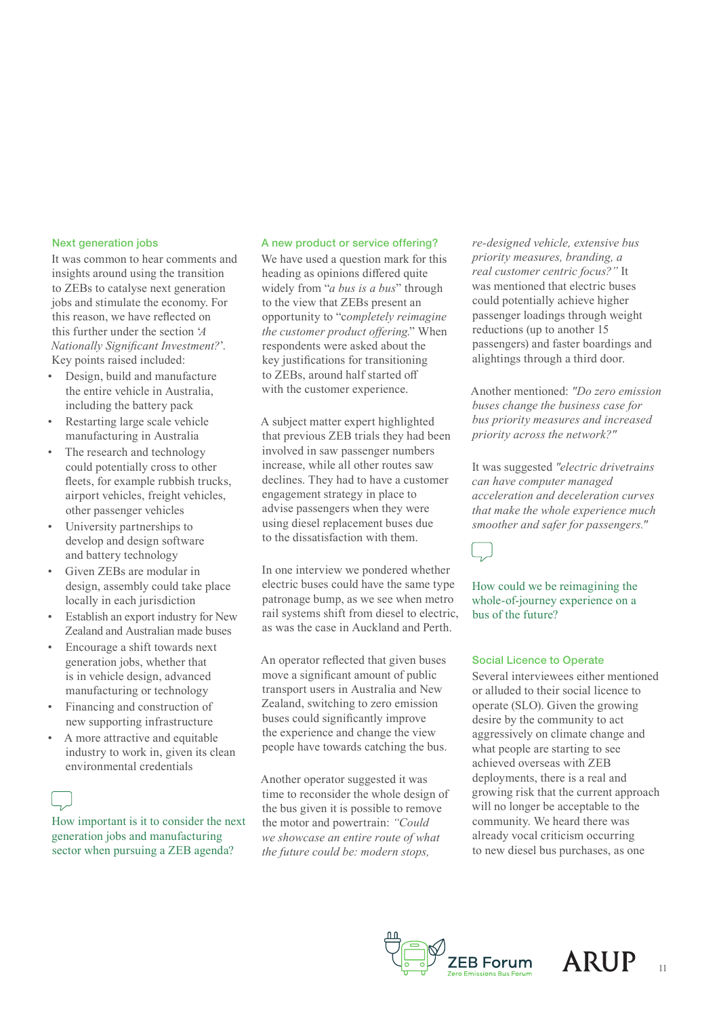#### Next generation jobs

It was common to hear comments and insights around using the transition to ZEBs to catalyse next generation jobs and stimulate the economy. For this reason, we have reflected on this further under the section '*A Nationally Significant Investment?*'. Key points raised included:

- Design, build and manufacture the entire vehicle in Australia, including the battery pack
- Restarting large scale vehicle manufacturing in Australia
- The research and technology could potentially cross to other fleets, for example rubbish trucks, airport vehicles, freight vehicles, other passenger vehicles
- University partnerships to develop and design software and battery technology
- Given ZEBs are modular in design, assembly could take place locally in each jurisdiction
- Establish an export industry for New Zealand and Australian made buses
- Encourage a shift towards next generation jobs, whether that is in vehicle design, advanced manufacturing or technology
- Financing and construction of new supporting infrastructure
- A more attractive and equitable industry to work in, given its clean environmental credentials

How important is it to consider the next generation jobs and manufacturing sector when pursuing a ZEB agenda?

#### A new product or service offering?

We have used a question mark for this heading as opinions differed quite widely from "*a bus is a bus*" through to the view that ZEBs present an opportunity to "c*ompletely reimagine the customer product offering*." When respondents were asked about the key justifications for transitioning to ZEBs, around half started off with the customer experience.

A subject matter expert highlighted that previous ZEB trials they had been involved in saw passenger numbers increase, while all other routes saw declines. They had to have a customer engagement strategy in place to advise passengers when they were using diesel replacement buses due to the dissatisfaction with them.

In one interview we pondered whether electric buses could have the same type patronage bump, as we see when metro rail systems shift from diesel to electric, as was the case in Auckland and Perth.

An operator reflected that given buses move a significant amount of public transport users in Australia and New Zealand, switching to zero emission buses could significantly improve the experience and change the view people have towards catching the bus.

Another operator suggested it was time to reconsider the whole design of the bus given it is possible to remove the motor and powertrain: *"Could we showcase an entire route of what the future could be: modern stops,* 

*re-designed vehicle, extensive bus priority measures, branding, a real customer centric focus?"* It was mentioned that electric buses could potentially achieve higher passenger loadings through weight reductions (up to another 15 passengers) and faster boardings and alightings through a third door.

Another mentioned: *"Do zero emission buses change the business case for bus priority measures and increased priority across the network?"*

It was suggested *"electric drivetrains can have computer managed acceleration and deceleration curves that make the whole experience much smoother and safer for passengers."* 



How could we be reimagining the whole-of-journey experience on a bus of the future?

#### Social Licence to Operate

Several interviewees either mentioned or alluded to their social licence to operate (SLO). Given the growing desire by the community to act aggressively on climate change and what people are starting to see achieved overseas with ZEB deployments, there is a real and growing risk that the current approach will no longer be acceptable to the community. We heard there was already vocal criticism occurring to new diesel bus purchases, as one



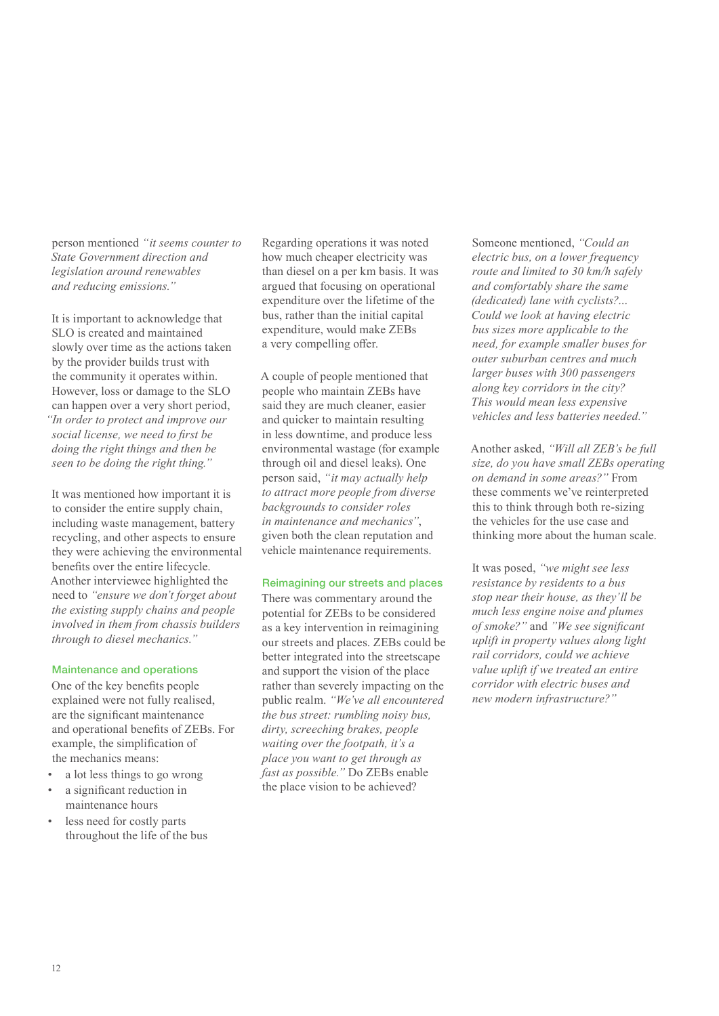person mentioned *"it seems counter to State Government direction and legislation around renewables and reducing emissions."* 

It is important to acknowledge that SLO is created and maintained slowly over time as the actions taken by the provider builds trust with the community it operates within. However, loss or damage to the SLO can happen over a very short period, *"In order to protect and improve our social license, we need to first be doing the right things and then be seen to be doing the right thing."*

It was mentioned how important it is to consider the entire supply chain, including waste management, battery recycling, and other aspects to ensure they were achieving the environmental benefits over the entire lifecycle. Another interviewee highlighted the need to *"ensure we don't forget about the existing supply chains and people involved in them from chassis builders through to diesel mechanics."*

#### Maintenance and operations

One of the key benefits people explained were not fully realised, are the significant maintenance and operational benefits of ZEBs. For example, the simplification of the mechanics means:

- a lot less things to go wrong
- a significant reduction in maintenance hours
- less need for costly parts throughout the life of the bus

Regarding operations it was noted how much cheaper electricity was than diesel on a per km basis. It was argued that focusing on operational expenditure over the lifetime of the bus, rather than the initial capital expenditure, would make ZEBs a very compelling offer.

A couple of people mentioned that people who maintain ZEBs have said they are much cleaner, easier and quicker to maintain resulting in less downtime, and produce less environmental wastage (for example through oil and diesel leaks). One person said, *"it may actually help to attract more people from diverse backgrounds to consider roles in maintenance and mechanics"*, given both the clean reputation and vehicle maintenance requirements.

#### Reimagining our streets and places

There was commentary around the potential for ZEBs to be considered as a key intervention in reimagining our streets and places. ZEBs could be better integrated into the streetscape and support the vision of the place rather than severely impacting on the public realm. *"We've all encountered the bus street: rumbling noisy bus, dirty, screeching brakes, people waiting over the footpath, it's a place you want to get through as fast as possible."* Do ZEBs enable the place vision to be achieved?

Someone mentioned, *"Could an electric bus, on a lower frequency route and limited to 30 km/h safely and comfortably share the same (dedicated) lane with cyclists?… Could we look at having electric bus sizes more applicable to the need, for example smaller buses for outer suburban centres and much larger buses with 300 passengers along key corridors in the city? This would mean less expensive vehicles and less batteries needed."* 

Another asked, *"Will all ZEB's be full size, do you have small ZEBs operating on demand in some areas?"* From these comments we've reinterpreted this to think through both re-sizing the vehicles for the use case and thinking more about the human scale.

It was posed, *"we might see less resistance by residents to a bus stop near their house, as they'll be much less engine noise and plumes of smoke?"* and *"We see significant uplift in property values along light rail corridors, could we achieve value uplift if we treated an entire corridor with electric buses and new modern infrastructure?"*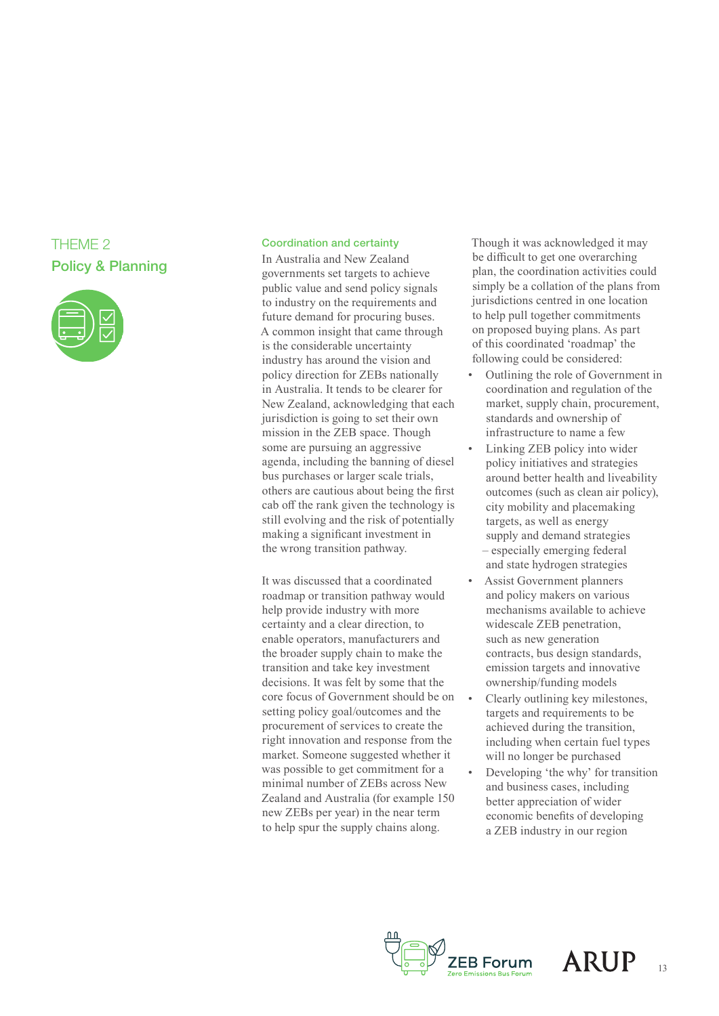### THEME 2 Policy & Planning



#### Coordination and certainty

In Australia and New Zealand governments set targets to achieve public value and send policy signals to industry on the requirements and future demand for procuring buses. A common insight that came through is the considerable uncertainty industry has around the vision and policy direction for ZEBs nationally in Australia. It tends to be clearer for New Zealand, acknowledging that each jurisdiction is going to set their own mission in the ZEB space. Though some are pursuing an aggressive agenda, including the banning of diesel bus purchases or larger scale trials, others are cautious about being the first cab off the rank given the technology is still evolving and the risk of potentially making a significant investment in the wrong transition pathway.

It was discussed that a coordinated roadmap or transition pathway would help provide industry with more certainty and a clear direction, to enable operators, manufacturers and the broader supply chain to make the transition and take key investment decisions. It was felt by some that the core focus of Government should be on setting policy goal/outcomes and the procurement of services to create the right innovation and response from the market. Someone suggested whether it was possible to get commitment for a minimal number of ZEBs across New Zealand and Australia (for example 150 new ZEBs per year) in the near term to help spur the supply chains along.

Though it was acknowledged it may be difficult to get one overarching plan, the coordination activities could simply be a collation of the plans from jurisdictions centred in one location to help pull together commitments on proposed buying plans. As part of this coordinated 'roadmap' the following could be considered:

- Outlining the role of Government in coordination and regulation of the market, supply chain, procurement, standards and ownership of infrastructure to name a few
- Linking ZEB policy into wider policy initiatives and strategies around better health and liveability outcomes (such as clean air policy), city mobility and placemaking targets, as well as energy supply and demand strategies – especially emerging federal and state hydrogen strategies
- Assist Government planners and policy makers on various mechanisms available to achieve widescale ZEB penetration, such as new generation contracts, bus design standards, emission targets and innovative ownership/funding models
- Clearly outlining key milestones, targets and requirements to be achieved during the transition, including when certain fuel types will no longer be purchased
- Developing 'the why' for transition and business cases, including better appreciation of wider economic benefits of developing a ZEB industry in our region



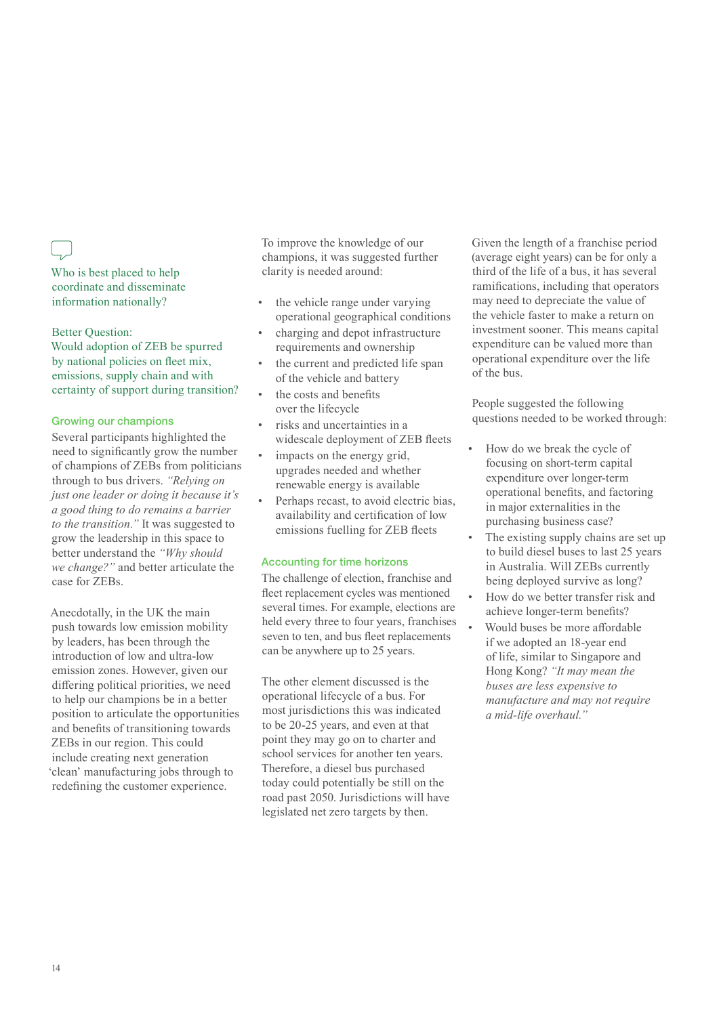Who is best placed to help coordinate and disseminate information nationally?

#### Better Question:

Would adoption of ZEB be spurred by national policies on fleet mix, emissions, supply chain and with certainty of support during transition?

#### Growing our champions

Several participants highlighted the need to significantly grow the number of champions of ZEBs from politicians through to bus drivers. *"Relying on just one leader or doing it because it's a good thing to do remains a barrier to the transition."* It was suggested to grow the leadership in this space to better understand the *"Why should we change?"* and better articulate the case for ZEBs.

Anecdotally, in the UK the main push towards low emission mobility by leaders, has been through the introduction of low and ultra-low emission zones. However, given our differing political priorities, we need to help our champions be in a better position to articulate the opportunities and benefits of transitioning towards ZEBs in our region. This could include creating next generation 'clean' manufacturing jobs through to redefining the customer experience.

To improve the knowledge of our champions, it was suggested further clarity is needed around:

- the vehicle range under varying operational geographical conditions
- charging and depot infrastructure requirements and ownership
- the current and predicted life span of the vehicle and battery
- the costs and benefits over the lifecycle
- risks and uncertainties in a widescale deployment of ZEB fleets
- impacts on the energy grid, upgrades needed and whether renewable energy is available
- Perhaps recast, to avoid electric bias, availability and certification of low emissions fuelling for ZEB fleets

#### Accounting for time horizons

The challenge of election, franchise and fleet replacement cycles was mentioned several times. For example, elections are held every three to four years, franchises seven to ten, and bus fleet replacements can be anywhere up to 25 years.

The other element discussed is the operational lifecycle of a bus. For most jurisdictions this was indicated to be 20-25 years, and even at that point they may go on to charter and school services for another ten years. Therefore, a diesel bus purchased today could potentially be still on the road past 2050. Jurisdictions will have legislated net zero targets by then.

Given the length of a franchise period (average eight years) can be for only a third of the life of a bus, it has several ramifications, including that operators may need to depreciate the value of the vehicle faster to make a return on investment sooner. This means capital expenditure can be valued more than operational expenditure over the life of the bus.

People suggested the following questions needed to be worked through:

- How do we break the cycle of focusing on short-term capital expenditure over longer-term operational benefits, and factoring in major externalities in the purchasing business case?
- The existing supply chains are set up to build diesel buses to last 25 years in Australia. Will ZEBs currently being deployed survive as long?
- How do we better transfer risk and achieve longer-term benefits?
- Would buses be more affordable if we adopted an 18-year end of life, similar to Singapore and Hong Kong? *"It may mean the buses are less expensive to manufacture and may not require a mid-life overhaul."*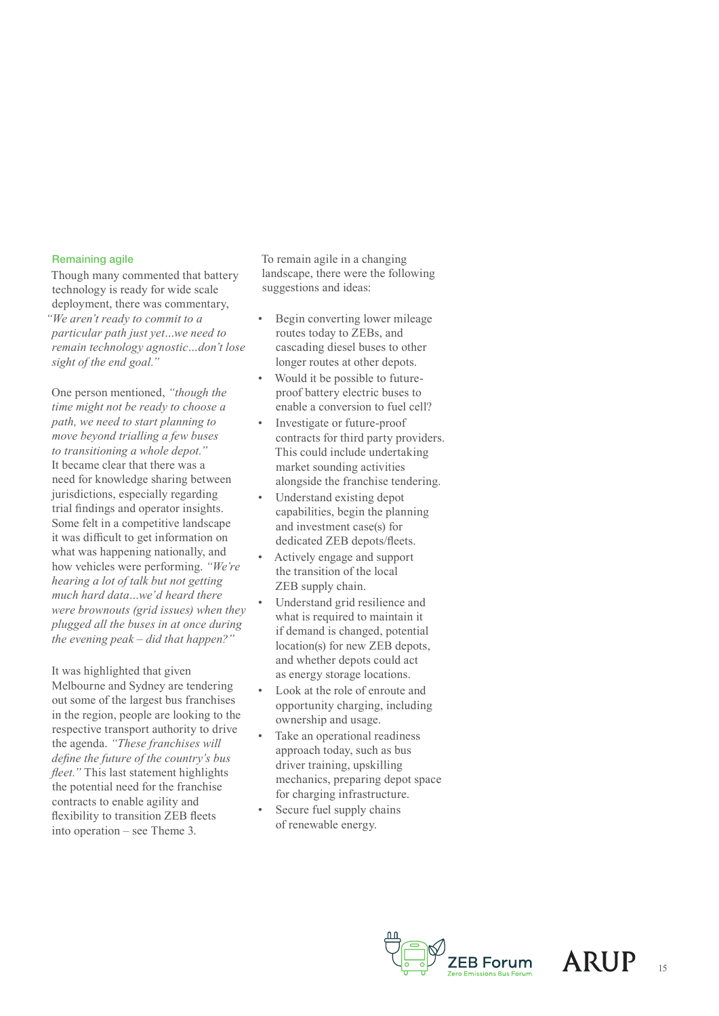#### Remaining agile

Though many commented that battery technology is ready for wide scale deployment, there was commentary, *"We aren't ready to commit to a particular path just yet…we need to remain technology agnostic…don't lose sight of the end goal."*

One person mentioned, *"though the time might not be ready to choose a path, we need to start planning to move beyond trialling a few buses to transitioning a whole depot."* It became clear that there was a need for knowledge sharing between jurisdictions, especially regarding trial findings and operator insights. Some felt in a competitive landscape it was difficult to get information on what was happening nationally, and how vehicles were performing. *"We're hearing a lot of talk but not getting much hard data…we'd heard there were brownouts (grid issues) when they plugged all the buses in at once during the evening peak – did that happen?"* 

It was highlighted that given Melbourne and Sydney are tendering out some of the largest bus franchises in the region, people are looking to the respective transport authority to drive the agenda. *"These franchises will define the future of the country's bus fleet."* This last statement highlights the potential need for the franchise contracts to enable agility and flexibility to transition ZEB fleets into operation – see Theme 3.

To remain agile in a changing landscape, there were the following suggestions and ideas:

- Begin converting lower mileage routes today to ZEBs, and cascading diesel buses to other longer routes at other depots.
- Would it be possible to futureproof battery electric buses to enable a conversion to fuel cell?
- Investigate or future-proof contracts for third party providers. This could include undertaking market sounding activities alongside the franchise tendering.
- Understand existing depot capabilities, begin the planning and investment case(s) for dedicated ZEB depots/fleets.
- Actively engage and support the transition of the local ZEB supply chain.
- Understand grid resilience and what is required to maintain it if demand is changed, potential location(s) for new ZEB depots, and whether depots could act as energy storage locations.
- Look at the role of enroute and opportunity charging, including ownership and usage.
- Take an operational readiness approach today, such as bus driver training, upskilling mechanics, preparing depot space for charging infrastructure.
- Secure fuel supply chains of renewable energy.



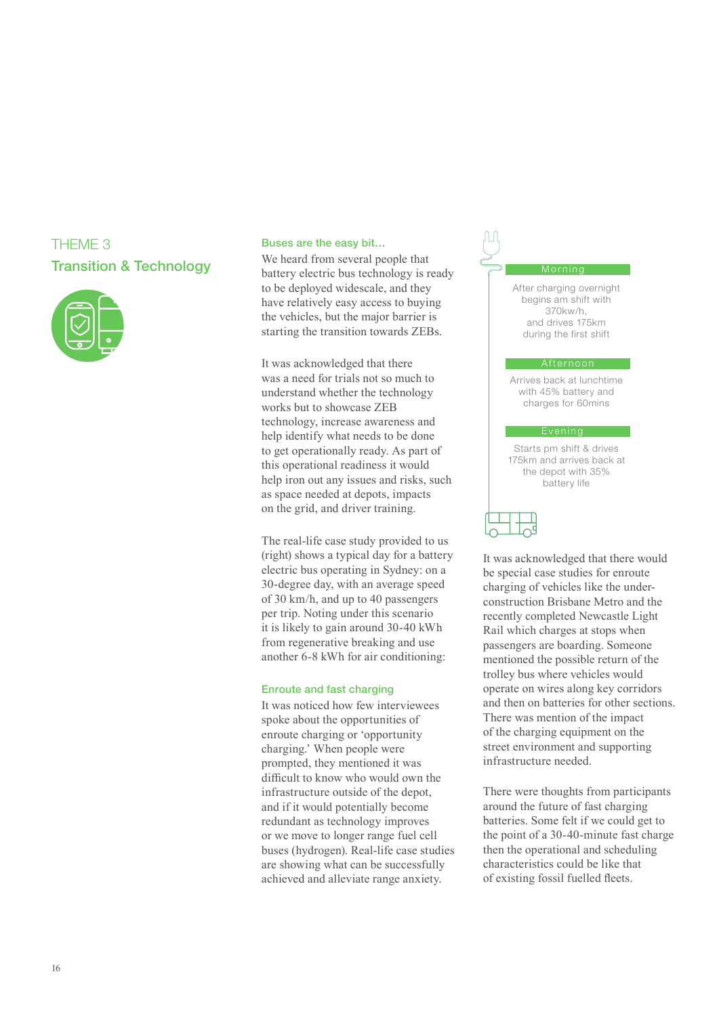### THEME 3 Transition & Technology



#### Buses are the easy bit…

We heard from several people that battery electric bus technology is ready to be deployed widescale, and they have relatively easy access to buying the vehicles, but the major barrier is starting the transition towards ZEBs.

It was acknowledged that there was a need for trials not so much to understand whether the technology works but to showcase ZEB technology, increase awareness and help identify what needs to be done to get operationally ready. As part of this operational readiness it would help iron out any issues and risks, such as space needed at depots, impacts on the grid, and driver training.

The real-life case study provided to us (right) shows a typical day for a battery electric bus operating in Sydney: on a 30-degree day, with an average speed of 30 km/h, and up to 40 passengers per trip. Noting under this scenario it is likely to gain around 30-40 kWh from regenerative breaking and use another 6-8 kWh for air conditioning:

#### Enroute and fast charging

It was noticed how few interviewees spoke about the opportunities of enroute charging or 'opportunity charging.' When people were prompted, they mentioned it was difficult to know who would own the infrastructure outside of the depot, and if it would potentially become redundant as technology improves or we move to longer range fuel cell buses (hydrogen). Real-life case studies are showing what can be successfully achieved and alleviate range anxiety.

#### Morning

After charging overnight begins am shift with 370kw/h, and drives 175km during the first shift

#### Afternoon

Arrives back at lunchtime with 45% battery and charges for 60mins

#### Evening

Starts pm shift & drives 175km and arrives back at the depot with 35% battery life

It was acknowledged that there would be special case studies for enroute charging of vehicles like the underconstruction Brisbane Metro and the recently completed Newcastle Light Rail which charges at stops when passengers are boarding. Someone mentioned the possible return of the trolley bus where vehicles would operate on wires along key corridors and then on batteries for other sections. There was mention of the impact of the charging equipment on the street environment and supporting infrastructure needed.

There were thoughts from participants around the future of fast charging batteries. Some felt if we could get to the point of a 30-40-minute fast charge then the operational and scheduling characteristics could be like that of existing fossil fuelled fleets.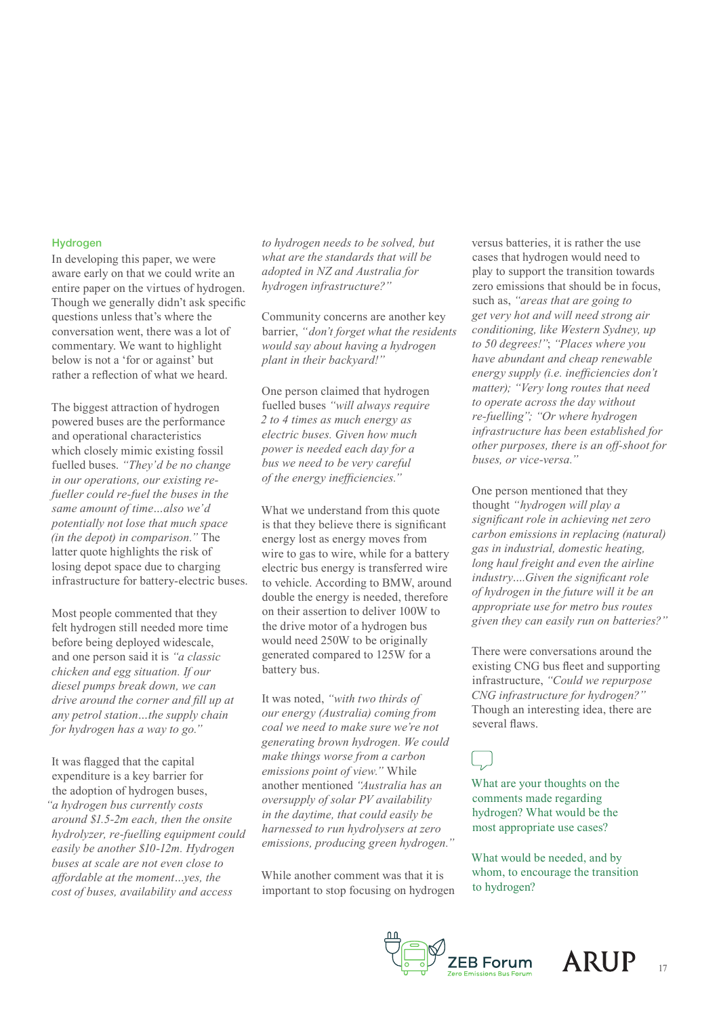#### Hydrogen

In developing this paper, we were aware early on that we could write an entire paper on the virtues of hydrogen. Though we generally didn't ask specific questions unless that's where the conversation went, there was a lot of commentary. We want to highlight below is not a 'for or against' but rather a reflection of what we heard.

The biggest attraction of hydrogen powered buses are the performance and operational characteristics which closely mimic existing fossil fuelled buses. *"They'd be no change in our operations, our existing refueller could re-fuel the buses in the same amount of time…also we'd potentially not lose that much space (in the depot) in comparison."* The latter quote highlights the risk of losing depot space due to charging infrastructure for battery-electric buses.

Most people commented that they felt hydrogen still needed more time before being deployed widescale, and one person said it is *"a classic chicken and egg situation. If our diesel pumps break down, we can drive around the corner and fill up at any petrol station…the supply chain for hydrogen has a way to go."*

It was flagged that the capital expenditure is a key barrier for the adoption of hydrogen buses, *"a hydrogen bus currently costs around \$1.5-2m each, then the onsite hydrolyzer, re-fuelling equipment could easily be another \$10-12m. Hydrogen buses at scale are not even close to affordable at the moment…yes, the cost of buses, availability and access* 

*to hydrogen needs to be solved, but what are the standards that will be adopted in NZ and Australia for hydrogen infrastructure?"*

Community concerns are another key barrier, *"don't forget what the residents would say about having a hydrogen plant in their backyard!"* 

One person claimed that hydrogen fuelled buses *"will always require 2 to 4 times as much energy as electric buses. Given how much power is needed each day for a bus we need to be very careful of the energy inefficiencies."*

What we understand from this quote is that they believe there is significant energy lost as energy moves from wire to gas to wire, while for a battery electric bus energy is transferred wire to vehicle. According to BMW, around double the energy is needed, therefore on their assertion to deliver 100W to the drive motor of a hydrogen bus would need 250W to be originally generated compared to 125W for a battery bus.

It was noted, *"with two thirds of our energy (Australia) coming from coal we need to make sure we're not generating brown hydrogen. We could make things worse from a carbon emissions point of view."* While another mentioned *"Australia has an oversupply of solar PV availability in the daytime, that could easily be harnessed to run hydrolysers at zero emissions, producing green hydrogen."* 

While another comment was that it is important to stop focusing on hydrogen versus batteries, it is rather the use cases that hydrogen would need to play to support the transition towards zero emissions that should be in focus, such as, *"areas that are going to get very hot and will need strong air conditioning, like Western Sydney, up to 50 degrees!"*; *"Places where you have abundant and cheap renewable energy supply (i.e. inefficiencies don't matter); "Very long routes that need to operate across the day without re-fuelling"; "Or where hydrogen infrastructure has been established for other purposes, there is an off-shoot for buses, or vice-versa."* 

One person mentioned that they thought *"hydrogen will play a significant role in achieving net zero carbon emissions in replacing (natural) gas in industrial, domestic heating, long haul freight and even the airline industry….Given the significant role of hydrogen in the future will it be an appropriate use for metro bus routes given they can easily run on batteries?"*

There were conversations around the existing CNG bus fleet and supporting infrastructure, *"Could we repurpose CNG infrastructure for hydrogen?"*  Though an interesting idea, there are several flaws.

What are your thoughts on the comments made regarding hydrogen? What would be the most appropriate use cases?

What would be needed, and by whom, to encourage the transition to hydrogen?



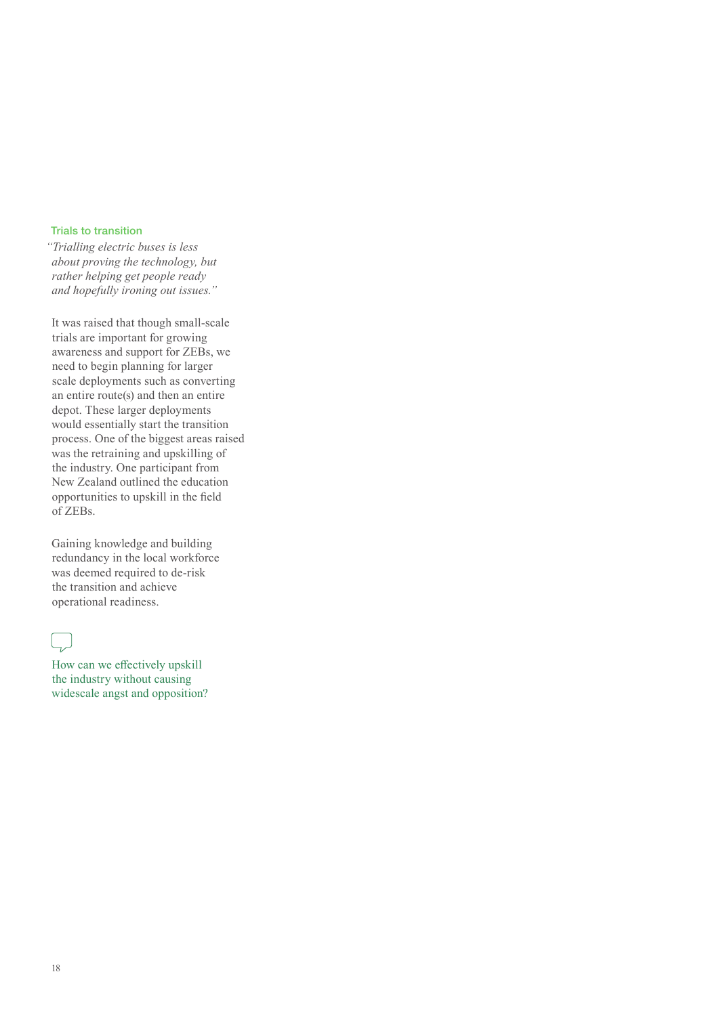#### Trials to transition

*"Trialling electric buses is less about proving the technology, but rather helping get people ready and hopefully ironing out issues."*

It was raised that though small-scale trials are important for growing awareness and support for ZEBs, we need to begin planning for larger scale deployments such as converting an entire route(s) and then an entire depot. These larger deployments would essentially start the transition process. One of the biggest areas raised was the retraining and upskilling of the industry. One participant from New Zealand outlined the education opportunities to upskill in the field of ZEBs.

Gaining knowledge and building redundancy in the local workforce was deemed required to de-risk the transition and achieve operational readiness.

### in.

How can we effectively upskill the industry without causing widescale angst and opposition?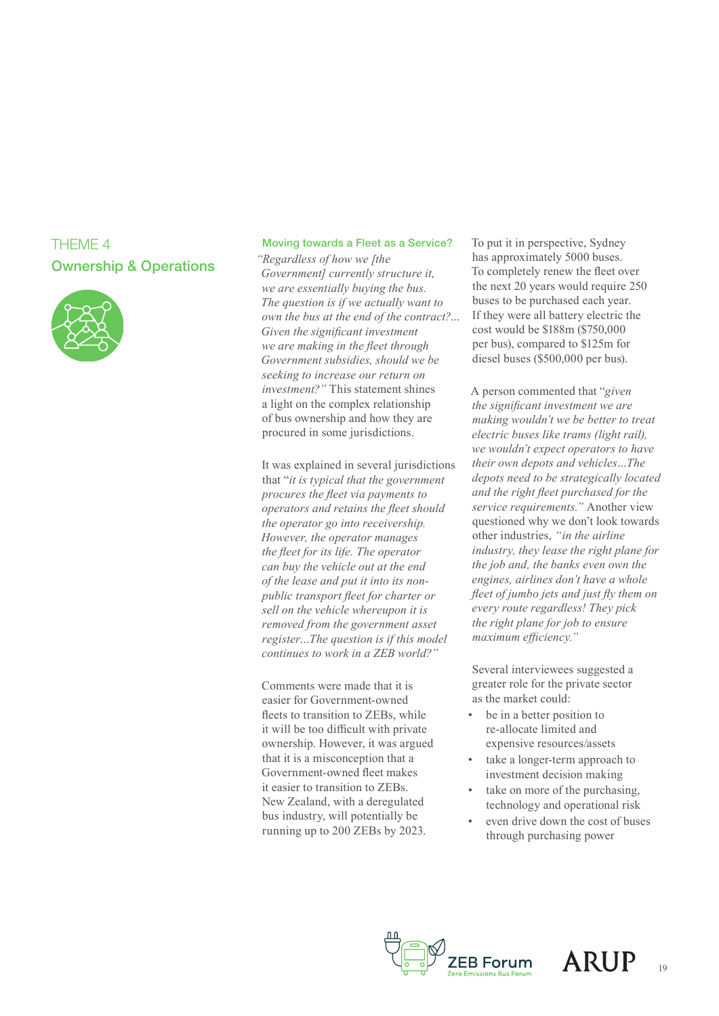### THEME 4 Ownership & Operations



#### Moving towards a Fleet as a Service?

*"Regardless of how we [the Government] currently structure it, we are essentially buying the bus. The question is if we actually want to own the bus at the end of the contract?… Given the significant investment we are making in the fleet through Government subsidies, should we be seeking to increase our return on investment?"* This statement shines a light on the complex relationship of bus ownership and how they are procured in some jurisdictions.

It was explained in several jurisdictions that "*it is typical that the government procures the fleet via payments to operators and retains the fleet should the operator go into receivership. However, the operator manages the fleet for its life. The operator can buy the vehicle out at the end of the lease and put it into its nonpublic transport fleet for charter or sell on the vehicle whereupon it is removed from the government asset register…The question is if this model continues to work in a ZEB world?"*

Comments were made that it is easier for Government-owned fleets to transition to ZEBs, while it will be too difficult with private ownership. However, it was argued that it is a misconception that a Government-owned fleet makes it easier to transition to ZEBs. New Zealand, with a deregulated bus industry, will potentially be running up to 200 ZEBs by 2023.

To put it in perspective, Sydney has approximately 5000 buses. To completely renew the fleet over the next 20 years would require 250 buses to be purchased each year. If they were all battery electric the cost would be \$188m (\$750,000 per bus), compared to \$125m for diesel buses (\$500,000 per bus).

A person commented that "*given the significant investment we are making wouldn't we be better to treat electric buses like trams (light rail), we wouldn't expect operators to have their own depots and vehicles…The depots need to be strategically located and the right fleet purchased for the service requirements."* Another view questioned why we don't look towards other industries, *"in the airline industry, they lease the right plane for the job and, the banks even own the engines, airlines don't have a whole fleet of jumbo jets and just fly them on every route regardless! They pick the right plane for job to ensure maximum efficiency."* 

Several interviewees suggested a greater role for the private sector as the market could:

- be in a better position to re-allocate limited and expensive resources/assets
- take a longer-term approach to investment decision making
- take on more of the purchasing, technology and operational risk
- even drive down the cost of buses through purchasing power



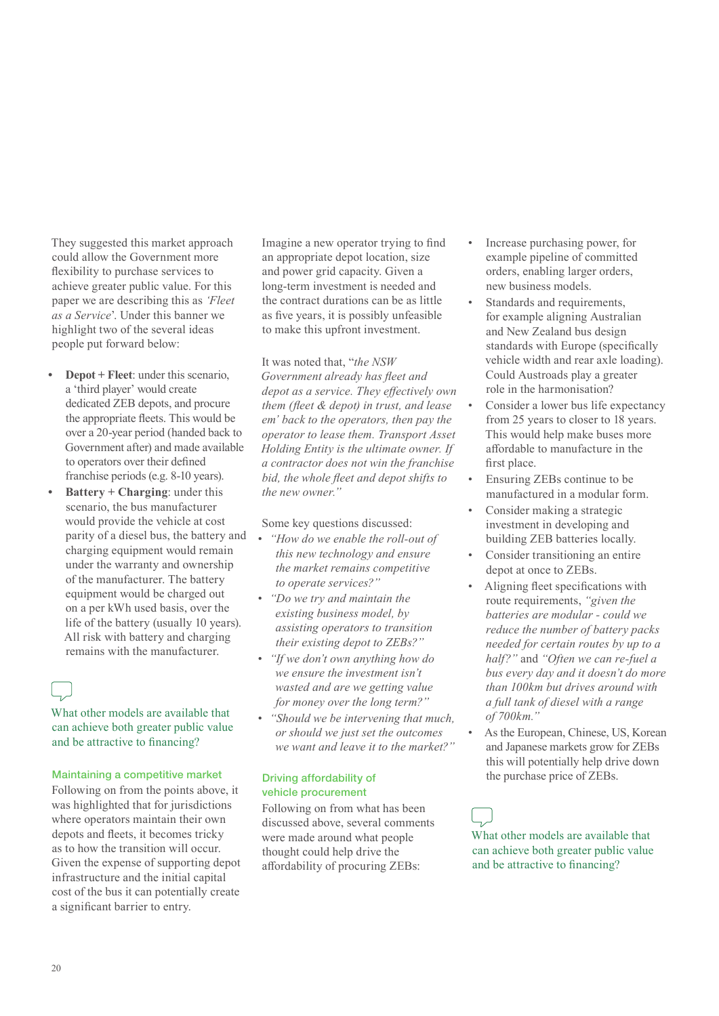They suggested this market approach could allow the Government more flexibility to purchase services to achieve greater public value. For this paper we are describing this as *'Fleet as a Service*'. Under this banner we highlight two of the several ideas people put forward below:

- **• Depot + Fleet**: under this scenario, a 'third player' would create dedicated ZEB depots, and procure the appropriate fleets. This would be over a 20-year period (handed back to Government after) and made available to operators over their defined franchise periods (e.g. 8-10 years).
- **• Battery + Charging**: under this scenario, the bus manufacturer would provide the vehicle at cost parity of a diesel bus, the battery and charging equipment would remain under the warranty and ownership of the manufacturer. The battery equipment would be charged out on a per kWh used basis, over the life of the battery (usually 10 years). All risk with battery and charging remains with the manufacturer.

| ı |
|---|
|   |

What other models are available that can achieve both greater public value and be attractive to financing?

#### Maintaining a competitive market

Following on from the points above, it was highlighted that for jurisdictions where operators maintain their own depots and fleets, it becomes tricky as to how the transition will occur. Given the expense of supporting depot infrastructure and the initial capital cost of the bus it can potentially create a significant barrier to entry.

Imagine a new operator trying to find an appropriate depot location, size and power grid capacity. Given a long-term investment is needed and the contract durations can be as little as five years, it is possibly unfeasible to make this upfront investment.

It was noted that, "*the NSW Government already has fleet and depot as a service. They effectively own them (fleet & depot) in trust, and lease em' back to the operators, then pay the operator to lease them. Transport Asset Holding Entity is the ultimate owner. If a contractor does not win the franchise bid, the whole fleet and depot shifts to the new owner."*

Some key questions discussed:

- *• "How do we enable the roll-out of this new technology and ensure the market remains competitive to operate services?"*
- *• "Do we try and maintain the existing business model, by assisting operators to transition their existing depot to ZEBs?"*
- *• "If we don't own anything how do we ensure the investment isn't wasted and are we getting value for money over the long term?"*
- *• "Should we be intervening that much, or should we just set the outcomes we want and leave it to the market?"*

#### Driving affordability of vehicle procurement

Following on from what has been discussed above, several comments were made around what people thought could help drive the affordability of procuring ZEBs:

- Increase purchasing power, for example pipeline of committed orders, enabling larger orders, new business models.
- Standards and requirements, for example aligning Australian and New Zealand bus design standards with Europe (specifically vehicle width and rear axle loading). Could Austroads play a greater role in the harmonisation?
- Consider a lower bus life expectancy from 25 years to closer to 18 years. This would help make buses more affordable to manufacture in the first place.
- Ensuring ZEBs continue to be manufactured in a modular form.
- Consider making a strategic investment in developing and building ZEB batteries locally.
- Consider transitioning an entire depot at once to ZEBs.
- Aligning fleet specifications with route requirements, *"given the batteries are modular - could we reduce the number of battery packs needed for certain routes by up to a half?"* and *"Often we can re-fuel a bus every day and it doesn't do more than 100km but drives around with a full tank of diesel with a range of 700km."*
- As the European, Chinese, US, Korean and Japanese markets grow for ZEBs this will potentially help drive down the purchase price of ZEBs.

What other models are available that can achieve both greater public value and be attractive to financing?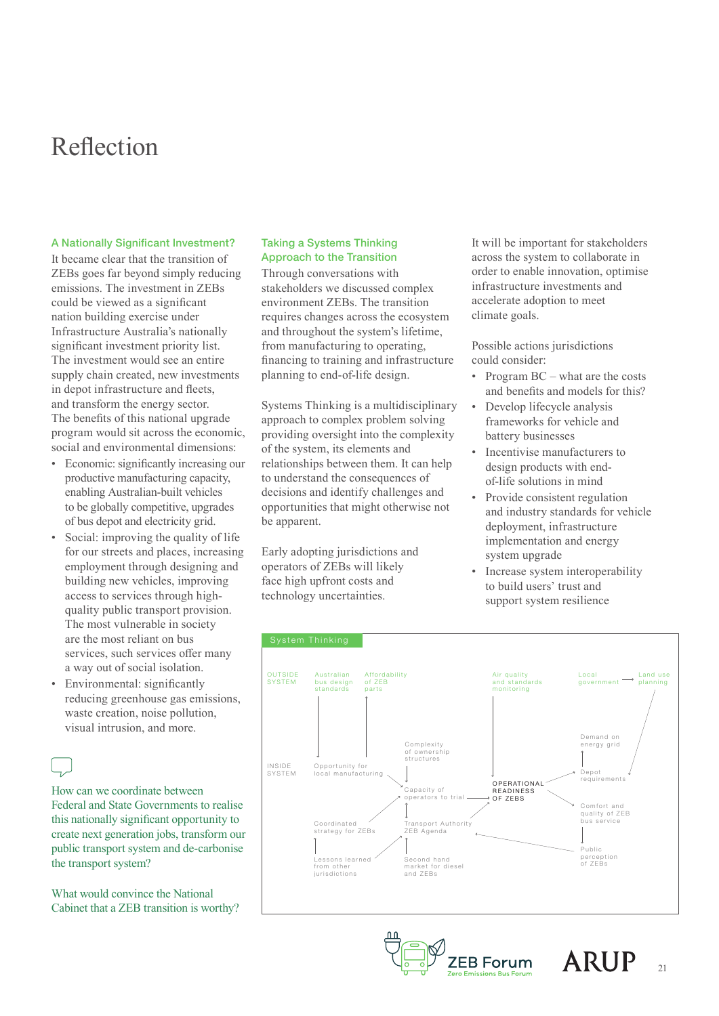## Reflection

#### A Nationally Significant Investment?

It became clear that the transition of ZEBs goes far beyond simply reducing emissions. The investment in ZEBs could be viewed as a significant nation building exercise under Infrastructure Australia's nationally significant investment priority list. The investment would see an entire supply chain created, new investments in depot infrastructure and fleets, and transform the energy sector. The benefits of this national upgrade program would sit across the economic, social and environmental dimensions:

- Economic: significantly increasing our productive manufacturing capacity, enabling Australian-built vehicles to be globally competitive, upgrades of bus depot and electricity grid.
- Social: improving the quality of life for our streets and places, increasing employment through designing and building new vehicles, improving access to services through highquality public transport provision. The most vulnerable in society are the most reliant on bus services, such services offer many a way out of social isolation.
- Environmental: significantly reducing greenhouse gas emissions, waste creation, noise pollution, visual intrusion, and more.

How can we coordinate between Federal and State Governments to realise this nationally significant opportunity to create next generation jobs, transform our public transport system and de-carbonise the transport system?

What would convince the National Cabinet that a ZEB transition is worthy?

#### Taking a Systems Thinking Approach to the Transition

Through conversations with stakeholders we discussed complex environment ZEBs. The transition requires changes across the ecosystem and throughout the system's lifetime, from manufacturing to operating, financing to training and infrastructure planning to end-of-life design.

Systems Thinking is a multidisciplinary approach to complex problem solving providing oversight into the complexity of the system, its elements and relationships between them. It can help to understand the consequences of decisions and identify challenges and opportunities that might otherwise not be apparent.

Early adopting jurisdictions and operators of ZEBs will likely face high upfront costs and technology uncertainties.

It will be important for stakeholders across the system to collaborate in order to enable innovation, optimise infrastructure investments and accelerate adoption to meet climate goals.

Possible actions jurisdictions could consider:

- Program BC what are the costs and benefits and models for this?
- Develop lifecycle analysis frameworks for vehicle and battery businesses
- Incentivise manufacturers to design products with endof-life solutions in mind
- Provide consistent regulation and industry standards for vehicle deployment, infrastructure implementation and energy system upgrade
- Increase system interoperability to build users' trust and support system resilience







21